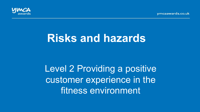vmcaawards.co.uk



# **Risks and hazards**

Level 2 Providing a positive customer experience in the fitness environment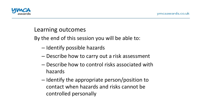

#### Learning outcomes

By the end of this session you will be able to:

- Identify possible hazards
- Describe how to carry out a risk assessment
- $-$  Describe how to control risks associated with hazards
- $-$  Identify the appropriate person/position to contact when hazards and risks cannot be controlled personally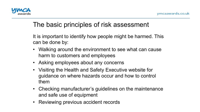

# The basic principles of risk assessment

It is important to identify how people might be harmed. This can be done by:

- Walking around the environment to see what can cause harm to customers and employees
- Asking employees about any concerns
- Visiting the Health and Safety Executive website for guidance on where hazards occur and how to control them
- Checking manufacturer's guidelines on the maintenance and safe use of equipment
- Reviewing previous accident records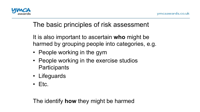

# The basic principles of risk assessment

It is also important to ascertain **who** might be harmed by grouping people into categories, e.g.

- People working in the gym
- People working in the exercise studios **Participants**
- Lifeguards
- Etc.

The identify **how** they might be harmed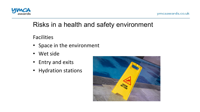

ymcaawards.co.uk

#### Risks in a health and safety environment

Facilities 

- Space in the environment
- Wet side
- Entry and exits
- Hydration stations

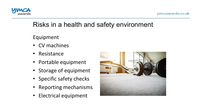

ymcaawards.co.uk

# Risks in a health and safety environment

Equipment 

- CV machines
- Resistance
- Portable equipment
- Storage of equipment
- Specific safety checks
- Reporting mechanisms
- Electrical equipment

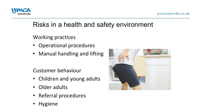

# Risks in a health and safety environment

Working practices

- Operational procedures
- Manual handling and lifting

Customer behaviour

- Children and young adults
- Older adults
- Referral procedures
- Hygiene

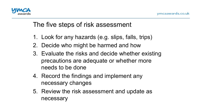

### The five steps of risk assessment

- 1. Look for any hazards (e.g. slips, falls, trips)
- 2. Decide who might be harmed and how
- 3. Evaluate the risks and decide whether existing precautions are adequate or whether more needs to be done
- 4. Record the findings and implement any necessary changes
- 5. Review the risk assessment and update as necessary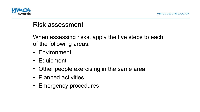

#### Risk assessment

When assessing risks, apply the five steps to each of the following areas:

- Environment
- Equipment
- Other people exercising in the same area
- Planned activities
- Emergency procedures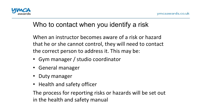# Who to contact when you identify a risk

When an instructor becomes aware of a risk or hazard that he or she cannot control, they will need to contact the correct person to address it. This may be:

- Gym manager / studio coordinator
- General manager
- Duty manager
- Health and safety officer

The process for reporting risks or hazards will be set out in the health and safety manual